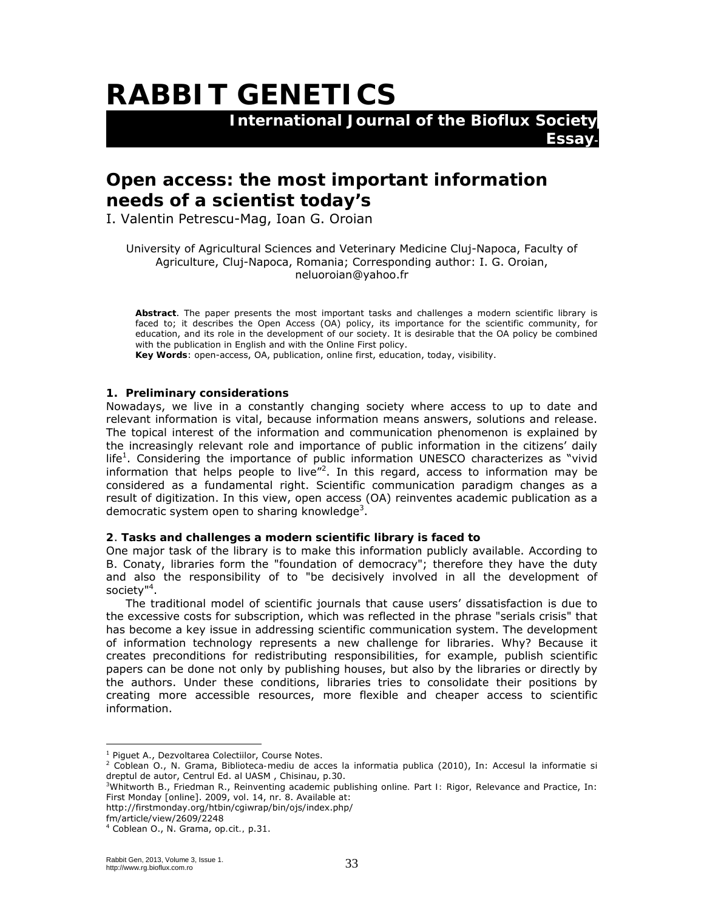# **RABBIT GENETICS**

 **International Journal of the Bioflux Society** 

## **Open access: the most important information needs of a scientist today's**

I. Valentin Petrescu-Mag, Ioan G. Oroian

University of Agricultural Sciences and Veterinary Medicine Cluj-Napoca, Faculty of Agriculture, Cluj-Napoca, Romania; Corresponding author: I. G. Oroian, neluoroian@yahoo.fr

**Essay-**

**Abstract**. The paper presents the most important tasks and challenges a modern scientific library is faced to; it describes the Open Access (OA) policy, its importance for the scientific community, for education, and its role in the development of our society. It is desirable that the OA policy be combined with the publication in English and with the Online First policy.

**Key Words**: open-access, OA, publication, online first, education, today, visibility.

#### **1. Preliminary considerations**

Nowadays, we live in a constantly changing society where access to up to date and relevant information is vital, because information means answers, solutions and release. The topical interest of the information and communication phenomenon is explained by the increasingly relevant role and importance of public information in the citizens' daily life<sup>1</sup>. Considering the importance of public information UNESCO characterizes as "vivid information that helps people to live"<sup>2</sup>. In this regard, access to information may be considered as a fundamental right. Scientific communication paradigm changes as a result of digitization. In this view, open access (OA) reinventes academic publication as a democratic system open to sharing knowledge<sup>3</sup>.

#### **2**. **Tasks and challenges a modern scientific library is faced to**

One major task of the library is to make this information publicly available. According to B. Conaty, libraries form the "foundation of democracy"; therefore they have the duty and also the responsibility of to "be decisively involved in all the development of society"4 .

The traditional model of scientific journals that cause users' dissatisfaction is due to the excessive costs for subscription, which was reflected in the phrase "serials crisis" that has become a key issue in addressing scientific communication system. The development of information technology represents a new challenge for libraries. Why? Because it creates preconditions for redistributing responsibilities, for example, publish scientific papers can be done not only by publishing houses, but also by the libraries or directly by the authors. Under these conditions, libraries tries to consolidate their positions by creating more accessible resources, more flexible and cheaper access to scientific information.

http://firstmonday.org/htbin/cgiwrap/bin/ojs/index.php/ fm/article/view/2609/2248

 $\overline{a}$ 

<sup>&</sup>lt;sup>1</sup> Piguet A., Dezvoltarea Colectiilor, Course Notes.

<sup>2</sup> Coblean O., N. Grama, *Biblioteca-mediu de acces la informatia publica* (2010), In: Accesul la informatie si dreptul de autor, Centrul Ed. al UASM, Chisinau, p.30.

Whitworth B., Friedman R., *Reinventing academic publishing online. Part I: Rigor, Relevance and Practice*, In: First Monday [online]. 2009, vol. 14, nr. 8. Available at:

<sup>4</sup> Coblean O., N. Grama, *op.cit.,* p.31.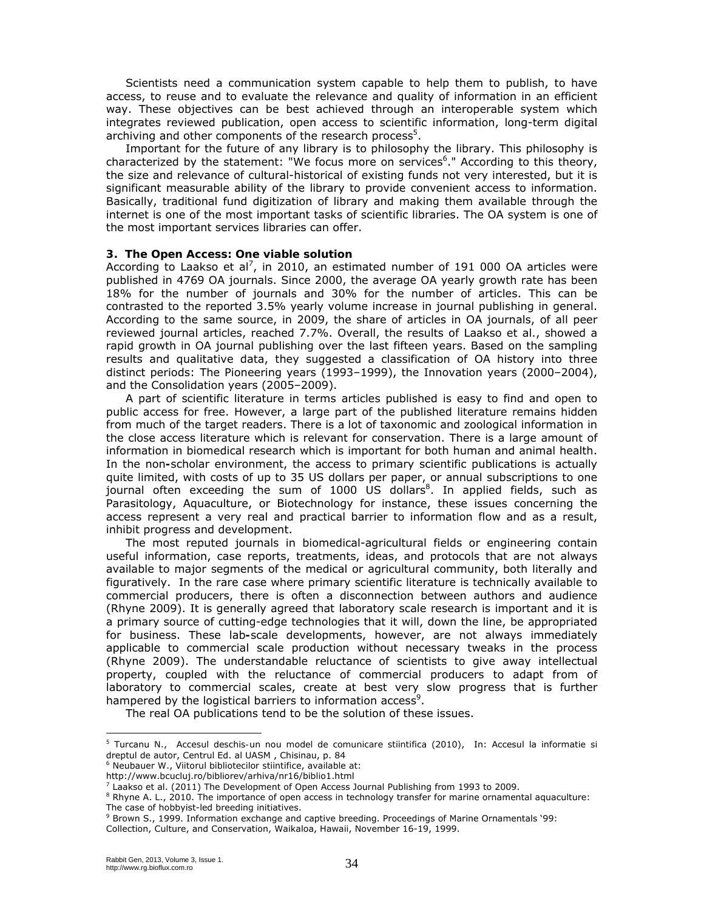Scientists need a communication system capable to help them to publish, to have access, to reuse and to evaluate the relevance and quality of information in an efficient way. These objectives can be best achieved through an interoperable system which integrates reviewed publication, open access to scientific information, long-term digital archiving and other components of the research process<sup>5</sup>.

Important for the future of any library is to philosophy the library. This philosophy is characterized by the statement: "We focus more on services<sup>6</sup>." According to this theory, the size and relevance of cultural-historical of existing funds not very interested, but it is significant measurable ability of the library to provide convenient access to information. Basically, traditional fund digitization of library and making them available through the internet is one of the most important tasks of scientific libraries. The OA system is one of the most important services libraries can offer.

#### **3. The Open Access: One viable solution**

According to Laakso et al<sup>7</sup>, in 2010, an estimated number of 191 000 OA articles were published in 4769 OA journals. Since 2000, the average OA yearly growth rate has been 18% for the number of journals and 30% for the number of articles. This can be contrasted to the reported 3.5% yearly volume increase in journal publishing in general. According to the same source, in 2009, the share of articles in OA journals, of all peer reviewed journal articles, reached 7.7%. Overall, the results of Laakso et al., showed a rapid growth in OA journal publishing over the last fifteen years. Based on the sampling results and qualitative data, they suggested a classification of OA history into three distinct periods: The Pioneering years (1993–1999), the Innovation years (2000–2004), and the Consolidation years (2005–2009).

A part of scientific literature in terms articles published is easy to find and open to public access for free. However, a large part of the published literature remains hidden from much of the target readers. There is a lot of taxonomic and zoological information in the close access literature which is relevant for conservation. There is a large amount of information in biomedical research which is important for both human and animal health. In the non**-**scholar environment, the access to primary scientific publications is actually quite limited, with costs of up to 35 US dollars per paper, or annual subscriptions to one journal often exceeding the sum of 1000 US dollars<sup>8</sup>. In applied fields, such as Parasitology, Aquaculture, or Biotechnology for instance, these issues concerning the access represent a very real and practical barrier to information flow and as a result, inhibit progress and development.

The most reputed journals in biomedical-agricultural fields or engineering contain useful information, case reports, treatments, ideas, and protocols that are not always available to major segments of the medical or agricultural community, both literally and figuratively. In the rare case where primary scientific literature is technically available to commercial producers, there is often a disconnection between authors and audience (Rhyne 2009). It is generally agreed that laboratory scale research is important and it is a primary source of cutting-edge technologies that it will, down the line, be appropriated for business. These lab**-**scale developments, however, are not always immediately applicable to commercial scale production without necessary tweaks in the process (Rhyne 2009). The understandable reluctance of scientists to give away intellectual property, coupled with the reluctance of commercial producers to adapt from of laboratory to commercial scales, create at best very slow progress that is further hampered by the logistical barriers to information access<sup>9</sup>.

The real OA publications tend to be the solution of these issues.

l

<sup>&</sup>lt;sup>5</sup> Turcanu N., *Accesul deschis-un nou model de comunicare stiintifica* (2010), In: Accesul la informatie si dreptul de autor, Centrul Ed. al UASM , Chisinau, p. 84

<sup>6</sup> Neubauer W., *Viitorul bibliotecilor stiintifice*, available at:

http://www.bcucluj.ro/bibliorev/arhiva/nr16/biblio1.html

<sup>7</sup> Laakso et al. (2011) The Development of Open Access Journal Publishing from 1993 to 2009.

<sup>&</sup>lt;sup>8</sup> Rhyne A. L., 2010. The importance of open access in technology transfer for marine ornamental aquaculture: The case of hobbyist-led breeding initiatives.

<sup>&</sup>lt;sup>9</sup> Brown S., 1999. Information exchange and captive breeding. Proceedings of Marine Ornamentals '99:

Collection, Culture, and Conservation, Waikaloa, Hawaii, November 16-19, 1999.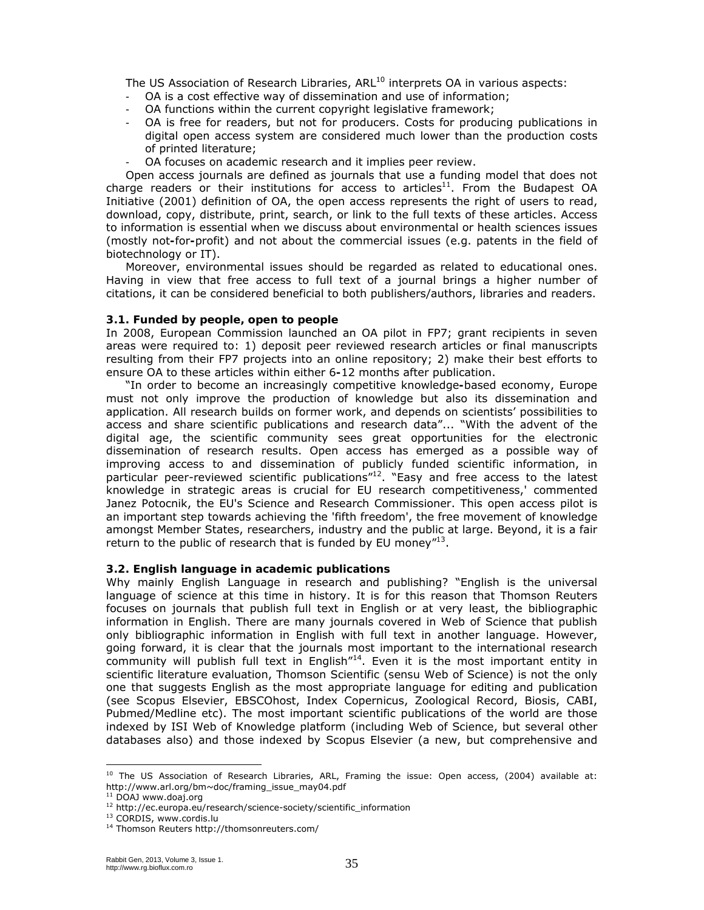The US Association of Research Libraries, ARL<sup>10</sup> interprets OA in various aspects:

- OA is a cost effective way of dissemination and use of information;
- OA functions within the current copyright legislative framework;
- OA is free for readers, but not for producers. Costs for producing publications in digital open access system are considered much lower than the production costs of printed literature;
- OA focuses on academic research and it implies peer review.

Open access journals are defined as journals that use a funding model that does not charge readers or their institutions for access to articles $^{11}$ . From the Budapest OA Initiative (2001) definition of OA, the open access represents the right of users to read, download, copy, distribute, print, search, or link to the full texts of these articles. Access to information is essential when we discuss about environmental or health sciences issues (mostly not**-**for**-**profit) and not about the commercial issues (e.g. patents in the field of biotechnology or IT).

Moreover, environmental issues should be regarded as related to educational ones. Having in view that free access to full text of a journal brings a higher number of citations, it can be considered beneficial to both publishers/authors, libraries and readers.

#### **3.1. Funded by people, open to people**

In 2008, European Commission launched an OA pilot in FP7; grant recipients in seven areas were required to: 1) deposit peer reviewed research articles or final manuscripts resulting from their FP7 projects into an online repository; 2) make their best efforts to ensure OA to these articles within either 6**-**12 months after publication.

"In order to become an increasingly competitive knowledge**-**based economy, Europe must not only improve the production of knowledge but also its dissemination and application. All research builds on former work, and depends on scientists' possibilities to access and share scientific publications and research data"... "With the advent of the digital age, the scientific community sees great opportunities for the electronic dissemination of research results. Open access has emerged as a possible way of improving access to and dissemination of publicly funded scientific information, in particular peer-reviewed scientific publications $12$ . "Easy and free access to the latest knowledge in strategic areas is crucial for EU research competitiveness,' commented Janez Potocnik, the EU's Science and Research Commissioner. This open access pilot is an important step towards achieving the 'fifth freedom', the free movement of knowledge amongst Member States, researchers, industry and the public at large. Beyond, it is a fair return to the public of research that is funded by EU money<sup>"13</sup>.

#### **3.2. English language in academic publications**

Why mainly English Language in research and publishing? "English is the universal language of science at this time in history. It is for this reason that Thomson Reuters focuses on journals that publish full text in English or at very least, the bibliographic information in English. There are many journals covered in Web of Science that publish only bibliographic information in English with full text in another language. However, going forward, it is clear that the journals most important to the international research community will publish full text in English"<sup>14</sup>. Even it is the most important entity in scientific literature evaluation, Thomson Scientific (*sensu* Web of Science) is not the only one that suggests English as the most appropriate language for editing and publication (see Scopus Elsevier, EBSCOhost, Index Copernicus, Zoological Record, Biosis, CABI, Pubmed/Medline etc). The most important scientific publications of the world are those indexed by ISI Web of Knowledge platform (including Web of Science, but several other databases also) and those indexed by Scopus Elsevier (a new, but comprehensive and

 $\overline{a}$ 

<sup>&</sup>lt;sup>10</sup> The US Association of Research Libraries, ARL, Framing the issue: Open access, (2004) available at: http://www.arl.org/bm~doc/framing\_issue\_may04.pdf

<sup>&</sup>lt;sup>11</sup> DOAJ www.doaj.org<br><sup>12</sup> http://ec.europa.eu/research/science-society/scientific\_information<br><sup>13</sup> CORDIS, www.cordis.lu<br><sup>14</sup> Thomson Reuters http://thomsonreuters.com/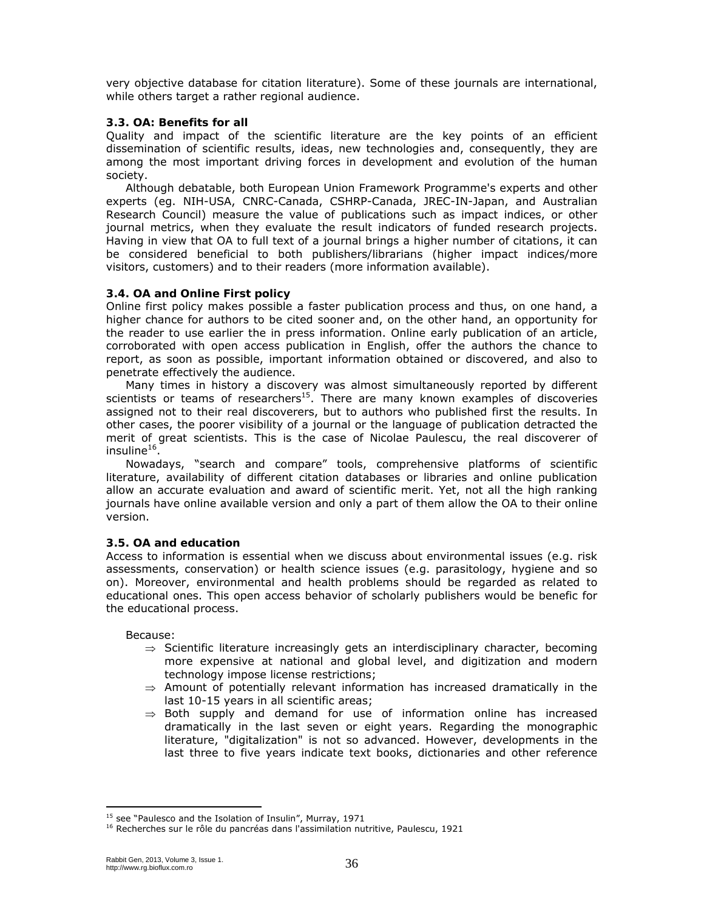very objective database for citation literature). Some of these journals are international, while others target a rather regional audience.

#### **3.3. OA: Benefits for all**

Quality and impact of the scientific literature are the key points of an efficient dissemination of scientific results, ideas, new technologies and, consequently, they are among the most important driving forces in development and evolution of the human society.

Although debatable, both European Union Framework Programme's experts and other experts (eg. NIH-USA, CNRC-Canada, CSHRP-Canada, JREC-IN-Japan, and Australian Research Council) measure the value of publications such as impact indices, or other journal metrics, when they evaluate the result indicators of funded research projects. Having in view that OA to full text of a journal brings a higher number of citations, it can be considered beneficial to both publishers/librarians (higher impact indices/more visitors, customers) and to their readers (more information available).

### **3.4. OA and Online First policy**

Online first policy makes possible a faster publication process and thus, on one hand, a higher chance for authors to be cited sooner and, on the other hand, an opportunity for the reader to use earlier the in press information. Online early publication of an article, corroborated with open access publication in English, offer the authors the chance to report, as soon as possible, important information obtained or discovered, and also to penetrate effectively the audience.

Many times in history a discovery was almost simultaneously reported by different scientists or teams of researchers<sup>15</sup>. There are many known examples of discoveries assigned not to their real discoverers, but to authors who published first the results. In other cases, the poorer visibility of a journal or the language of publication detracted the merit of great scientists. This is the case of Nicolae Paulescu, the real discoverer of insuline $16$ .

Nowadays, "search and compare" tools, comprehensive platforms of scientific literature, availability of different citation databases or libraries and online publication allow an accurate evaluation and award of scientific merit. Yet, not all the high ranking journals have online available version and only a part of them allow the OA to their online version.

#### **3.5. OA and education**

Access to information is essential when we discuss about environmental issues (e.g. risk assessments, conservation) or health science issues (e.g. parasitology, hygiene and so on). Moreover, environmental and health problems should be regarded as related to educational ones. This open access behavior of scholarly publishers would be benefic for the educational process.

Because:

- $\Rightarrow$  Scientific literature increasingly gets an interdisciplinary character, becoming more expensive at national and global level, and digitization and modern technology impose license restrictions;
- $\Rightarrow$  Amount of potentially relevant information has increased dramatically in the last 10-15 years in all scientific areas;
- $\Rightarrow$  Both supply and demand for use of information online has increased dramatically in the last seven or eight years. Regarding the monographic literature, "digitalization" is not so advanced. However, developments in the last three to five years indicate text books, dictionaries and other reference

l

<sup>&</sup>lt;sup>15</sup> see "Paulesco and the Isolation of Insulin", Murray, 1971 16 Recherches sur le rôle du pancréas dans l'assimilation nutritive, Paulescu, 1921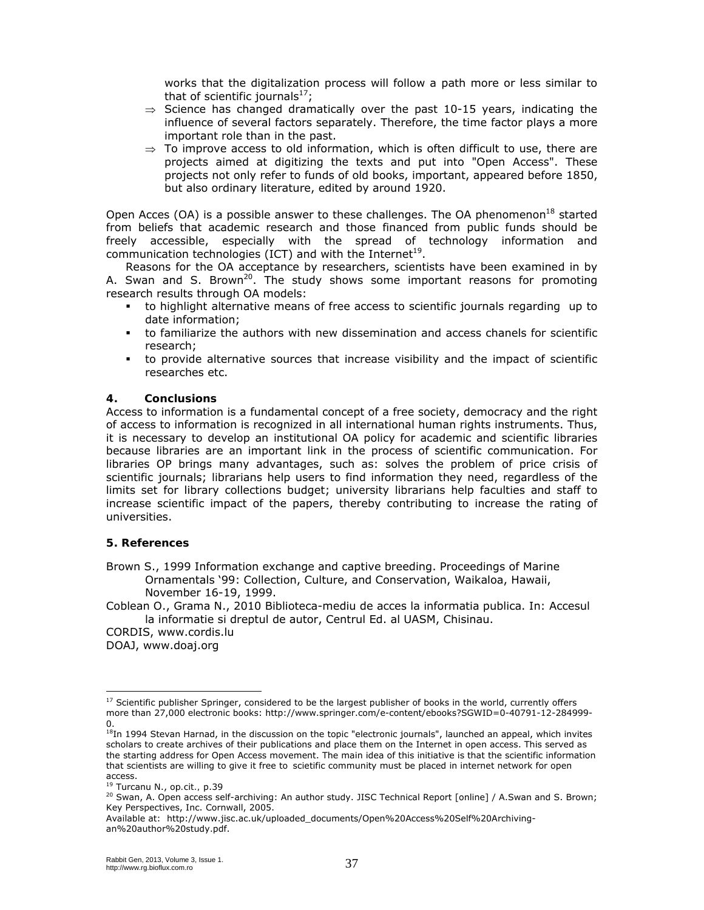works that the digitalization process will follow a path more or less similar to that of scientific journals<sup>17</sup>;

- $\Rightarrow$  Science has changed dramatically over the past 10-15 years, indicating the influence of several factors separately. Therefore, the time factor plays a more important role than in the past.
- $\Rightarrow$  To improve access to old information, which is often difficult to use, there are projects aimed at digitizing the texts and put into "Open Access". These projects not only refer to funds of old books, important, appeared before 1850, but also ordinary literature, edited by around 1920.

Open Acces (OA) is a possible answer to these challenges. The OA phenomenon<sup>18</sup> started from beliefs that academic research and those financed from public funds should be freely accessible, especially with the spread of technology information and communication technologies (ICT) and with the Internet<sup>19</sup>.

Reasons for the OA acceptance by researchers, scientists have been examined in by A. Swan and S. Brown<sup>20</sup>. The study shows some important reasons for promoting research results through OA models:

- to highlight alternative means of free access to scientific journals regarding up to date information;
- to familiarize the authors with new dissemination and access chanels for scientific research;
- to provide alternative sources that increase visibility and the impact of scientific researches etc.

#### **4. Conclusions**

Access to information is a fundamental concept of a free society, democracy and the right of access to information is recognized in all international human rights instruments. Thus, it is necessary to develop an institutional OA policy for academic and scientific libraries because libraries are an important link in the process of scientific communication. For libraries OP brings many advantages, such as: solves the problem of price crisis of scientific journals; librarians help users to find information they need, regardless of the limits set for library collections budget; university librarians help faculties and staff to increase scientific impact of the papers, thereby contributing to increase the rating of universities.

#### **5. References**

Brown S., 1999 Information exchange and captive breeding. Proceedings of Marine Ornamentals '99: Collection, Culture, and Conservation, Waikaloa, Hawaii, November 16-19, 1999.

Coblean O., Grama N., 2010 Biblioteca-mediu de acces la informatia publica. In: Accesul la informatie si dreptul de autor, Centrul Ed. al UASM, Chisinau.

CORDIS, www.cordis.lu

DOAJ, www.doaj.org

 $17$  Scientific publisher Springer, considered to be the largest publisher of books in the world, currently offers more than 27,000 electronic books: http://www.springer.com/e-content/ebooks?SGWID=0-40791-12-284999- 0.

<sup>&</sup>lt;sup>18</sup>In 1994 Stevan Harnad, in the discussion on the topic "electronic journals", launched an appeal, which invites scholars to create archives of their publications and place them on the Internet in open access. This served as the starting address for Open Access movement. The main idea of this initiative is that the scientific information that scientists are willing to give it free to scietific community must be placed in internet network for open

access.<br><sup>19</sup> Turcanu N., op.cit., p.39

<sup>&</sup>lt;sup>20</sup> Swan, A. Open access self-archiving: An author study. JISC Technical Report [online] / A.Swan and S. Brown; Key Perspectives, Inc. Cornwall, 2005.

Available at: http://www.jisc.ac.uk/uploaded\_documents/Open%20Access%20Self%20Archivingan%20author%20study.pdf.